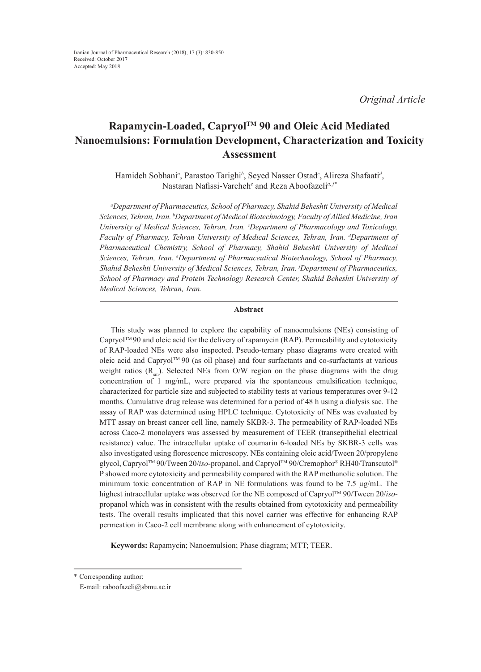*Original Article*

# **Rapamycin-Loaded, CapryolTM 90 and Oleic Acid Mediated Nanoemulsions: Formulation Development, Characterization and Toxicity Assessment**

Hamideh Sobhani*<sup>a</sup>* , Parastoo Tarighi*<sup>b</sup>* , Seyed Nasser Ostad*<sup>c</sup>* , Alireza Shafaati*<sup>d</sup>* , Nastaran Nafissi-Varcheh*<sup>e</sup>* and Reza Aboofazeli*a, f\**

*a Department of Pharmaceutics, School of Pharmacy, Shahid Beheshti University of Medical Sciences, Tehran, Iran. b Department of Medical Biotechnology, Faculty of Allied Medicine, Iran University of Medical Sciences, Tehran, Iran. c Department of Pharmacology and Toxicology, Faculty of Pharmacy, Tehran University of Medical Sciences, Tehran, Iran. d Department of Pharmaceutical Chemistry, School of Pharmacy, Shahid Beheshti University of Medical Sciences, Tehran, Iran. e Department of Pharmaceutical Biotechnology, School of Pharmacy, Shahid Beheshti University of Medical Sciences, Tehran, Iran. f Department of Pharmaceutics, School of Pharmacy and Protein Technology Research Center, Shahid Beheshti University of Medical Sciences, Tehran, Iran.*

# **Abstract**

This study was planned to explore the capability of nanoemulsions (NEs) consisting of  $Capryol^TM90$  and oleic acid for the delivery of rapamycin (RAP). Permeability and cytotoxicity of RAP-loaded NEs were also inspected. Pseudo-ternary phase diagrams were created with oleic acid and CapryolTM 90 (as oil phase) and four surfactants and co-surfactants at various weight ratios  $(R<sub>m</sub>)$ . Selected NEs from O/W region on the phase diagrams with the drug concentration of 1 mg/mL, were prepared via the spontaneous emulsification technique, characterized for particle size and subjected to stability tests at various temperatures over 9-12 months. Cumulative drug release was determined for a period of 48 h using a dialysis sac. The assay of RAP was determined using HPLC technique. Cytotoxicity of NEs was evaluated by MTT assay on breast cancer cell line, namely SKBR-3. The permeability of RAP-loaded NEs across Caco-2 monolayers was assessed by measurement of TEER (transepithelial electrical resistance) value. The intracellular uptake of coumarin 6-loaded NEs by SKBR-3 cells was also investigated using florescence microscopy. NEs containing oleic acid/Tween 20/propylene glycol, CapryolTM 90/Tween 20/*iso*-propanol, and CapryolTM 90/Cremophor® RH40/Transcutol® P showed more cytotoxicity and permeability compared with the RAP methanolic solution. The minimum toxic concentration of RAP in NE formulations was found to be 7.5  $\mu$ g/mL. The highest intracellular uptake was observed for the NE composed of CapryolTM 90/Tween 20/*iso*propanol which was in consistent with the results obtained from cytotoxicity and permeability tests. The overall results implicated that this novel carrier was effective for enhancing RAP permeation in Caco-2 cell membrane along with enhancement of cytotoxicity.

**Keywords:** Rapamycin; Nanoemulsion; Phase diagram; MTT; TEER.

<sup>\*</sup> Corresponding author:

E-mail: raboofazeli@sbmu.ac.ir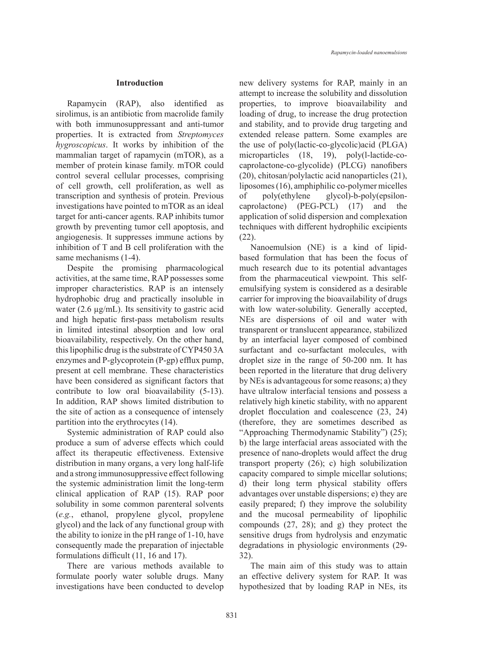#### **Introduction**

Rapamycin (RAP), also identified as sirolimus, is an antibiotic from macrolide family with both immunosuppressant and anti-tumor properties. It is extracted from *Streptomyces hygroscopicus*. It works by inhibition of the mammalian target of rapamycin (mTOR), as a member of protein kinase family. mTOR could control several cellular processes, comprising of cell growth, cell proliferation, as well as transcription and synthesis of protein. Previous investigations have pointed to mTOR as an ideal target for anti-cancer agents. RAP inhibits tumor growth by preventing tumor cell apoptosis, and angiogenesis. It suppresses immune actions by inhibition of T and B cell proliferation with the same mechanisms (1-4).

Despite the promising pharmacological activities, at the same time, RAP possesses some improper characteristics. RAP is an intensely hydrophobic drug and practically insoluble in water (2.6 µg/mL). Its sensitivity to gastric acid and high hepatic first-pass metabolism results in limited intestinal absorption and low oral bioavailability, respectively. On the other hand, this lipophilic drug is the substrate of CYP450 3A enzymes and P-glycoprotein (P-gp) efflux pump, present at cell membrane. These characteristics have been considered as significant factors that contribute to low oral bioavailability (5-13). In addition, RAP shows limited distribution to the site of action as a consequence of intensely partition into the erythrocytes (14).

Systemic administration of RAP could also produce a sum of adverse effects which could affect its therapeutic effectiveness. Extensive distribution in many organs, a very long half-life and a strong immunosuppressive effect following the systemic administration limit the long-term clinical application of RAP (15). RAP poor solubility in some common parenteral solvents (*e.g.*, ethanol, propylene glycol, propylene glycol) and the lack of any functional group with the ability to ionize in the pH range of 1-10, have consequently made the preparation of injectable formulations difficult (11, 16 and 17).

There are various methods available to formulate poorly water soluble drugs. Many investigations have been conducted to develop

new delivery systems for RAP, mainly in an attempt to increase the solubility and dissolution properties, to improve bioavailability and loading of drug, to increase the drug protection and stability, and to provide drug targeting and extended release pattern. Some examples are the use of poly(lactic-co-glycolic)acid (PLGA) microparticles (18, 19), poly(l-lactide-cocaprolactone-co-glycolide) (PLCG) nanofibers (20), chitosan/polylactic acid nanoparticles (21), liposomes (16), amphiphilic co-polymer micelles of poly(ethylene glycol)-b-poly(epsiloncaprolactone) (PEG-PCL) (17) and the application of solid dispersion and complexation techniques with different hydrophilic excipients (22).

Nanoemulsion (NE) is a kind of lipidbased formulation that has been the focus of much research due to its potential advantages from the pharmaceutical viewpoint. This selfemulsifying system is considered as a desirable carrier for improving the bioavailability of drugs with low water-solubility. Generally accepted, NEs are dispersions of oil and water with transparent or translucent appearance, stabilized by an interfacial layer composed of combined surfactant and co-surfactant molecules, with droplet size in the range of 50-200 nm. It has been reported in the literature that drug delivery by NEs is advantageous for some reasons; a) they have ultralow interfacial tensions and possess a relatively high kinetic stability, with no apparent droplet flocculation and coalescence (23, 24) (therefore, they are sometimes described as "Approaching Thermodynamic Stability") (25); b) the large interfacial areas associated with the presence of nano-droplets would affect the drug transport property (26); c) high solubilization capacity compared to simple micellar solutions; d) their long term physical stability offers advantages over unstable dispersions; e) they are easily prepared; f) they improve the solubility and the mucosal permeability of lipophilic compounds (27, 28); and g) they protect the sensitive drugs from hydrolysis and enzymatic degradations in physiologic environments (29- 32).

The main aim of this study was to attain an effective delivery system for RAP. It was hypothesized that by loading RAP in NEs, its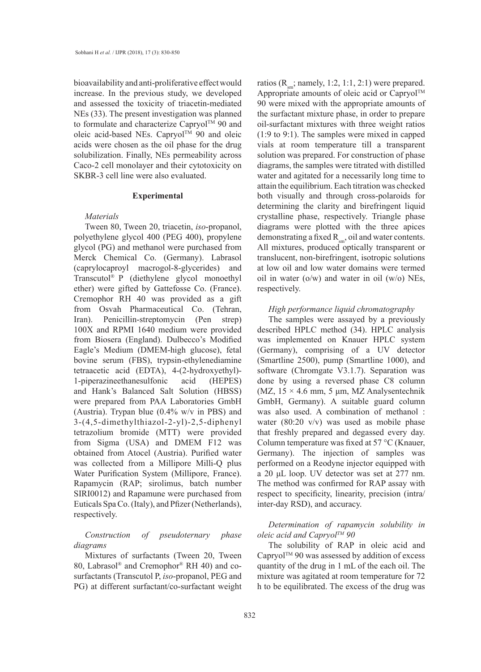bioavailability and anti-proliferative effect would increase. In the previous study, we developed and assessed the toxicity of triacetin-mediated NEs (33). The present investigation was planned to formulate and characterize Capryol™ 90 and oleic acid-based NEs. Capryol<sup>TM</sup> 90 and oleic acids were chosen as the oil phase for the drug solubilization. Finally, NEs permeability across Caco-2 cell monolayer and their cytotoxicity on SKBR-3 cell line were also evaluated.

#### **Experimental**

#### *Materials*

Tween 80, Tween 20, triacetin, *iso*-propanol, polyethylene glycol 400 (PEG 400), propylene glycol (PG) and methanol were purchased from Merck Chemical Co. (Germany). Labrasol (caprylocaproyl macrogol-8-glycerides) and Transcutol® P (diethylene glycol monoethyl ether) were gifted by Gattefosse Co. (France). Cremophor RH 40 was provided as a gift from Osvah Pharmaceutical Co. (Tehran, Iran). Penicillin-streptomycin (Pen strep) 100X and RPMI 1640 medium were provided from Biosera (England). Dulbecco's Modified Eagle's Medium (DMEM-high glucose), fetal bovine serum (FBS), trypsin-ethylenediamine tetraacetic acid (EDTA), 4-(2-hydroxyethyl)- 1-piperazineethanesulfonic acid (HEPES) and Hank's Balanced Salt Solution (HBSS) were prepared from PAA Laboratories GmbH (Austria). Trypan blue (0.4% w/v in PBS) and 3-(4,5-dimethylthiazol-2-yl)-2,5-diphenyl tetrazolium bromide (MTT) were provided from Sigma (USA) and DMEM F12 was obtained from Atocel (Austria). Purified water was collected from a Millipore Milli-Q plus Water Purification System (Millipore, France). Rapamycin (RAP; sirolimus, batch number SIRI0012) and Rapamune were purchased from Euticals Spa Co. (Italy), and Pfizer (Netherlands), respectively.

# *Construction of pseudoternary phase diagrams*

Mixtures of surfactants (Tween 20, Tween 80, Labrasol® and Cremophor® RH 40) and cosurfactants (Transcutol P, *iso*-propanol, PEG and PG) at different surfactant/co-surfactant weight ratios ( $R_{\rm sm}$ ; namely, 1:2, 1:1, 2:1) were prepared. Appropriate amounts of oleic acid or Capryol™ 90 were mixed with the appropriate amounts of the surfactant mixture phase, in order to prepare oil-surfactant mixtures with three weight ratios (1:9 to 9:1). The samples were mixed in capped vials at room temperature till a transparent solution was prepared. For construction of phase diagrams, the samples were titrated with distilled water and agitated for a necessarily long time to attain the equilibrium. Each titration was checked both visually and through cross-polaroids for determining the clarity and birefringent liquid crystalline phase, respectively. Triangle phase diagrams were plotted with the three apices demonstrating a fixed  $R_{\rm sm}$ , oil and water contents. All mixtures, produced optically transparent or translucent, non-birefringent, isotropic solutions at low oil and low water domains were termed oil in water ( $o/w$ ) and water in oil ( $w/o$ ) NEs, respectively.

# *High performance liquid chromatography*

The samples were assayed by a previously described HPLC method (34). HPLC analysis was implemented on Knauer HPLC system (Germany), comprising of a UV detector (Smartline 2500), pump (Smartline 1000), and software (Chromgate V3.1.7). Separation was done by using a reversed phase C8 column (MZ,  $15 \times 4.6$  mm, 5  $\mu$ m, MZ Analysentechnik GmbH, Germany). A suitable guard column was also used. A combination of methanol : water (80:20 v/v) was used as mobile phase that freshly prepared and degassed every day. Column temperature was fixed at 57 °C (Knauer, Germany). The injection of samples was performed on a Reodyne injector equipped with a 20 μL loop. UV detector was set at 277 nm. The method was confirmed for RAP assay with respect to specificity, linearity, precision (intra/ inter-day RSD), and accuracy.

# *Determination of rapamycin solubility in oleic acid and CapryolTM 90*

The solubility of RAP in oleic acid and  $Capryol^{TM}$  90 was assessed by addition of excess quantity of the drug in 1 mL of the each oil. The mixture was agitated at room temperature for 72 h to be equilibrated. The excess of the drug was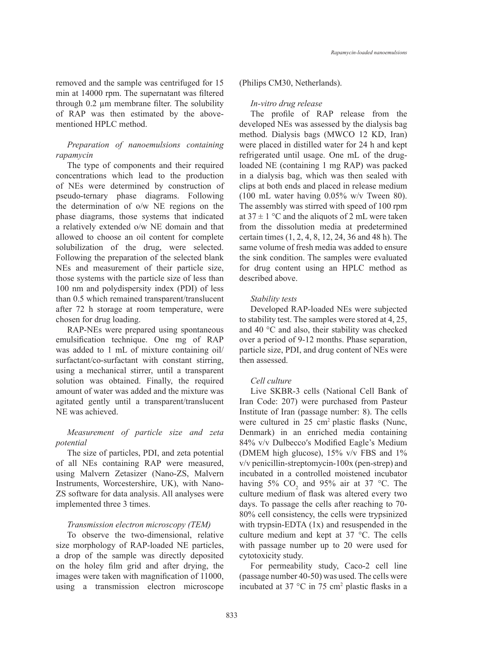removed and the sample was centrifuged for 15 min at 14000 rpm. The supernatant was filtered through 0.2 µm membrane filter. The solubility of RAP was then estimated by the abovementioned HPLC method.

# *Preparation of nanoemulsions containing rapamycin*

The type of components and their required concentrations which lead to the production of NEs were determined by construction of pseudo-ternary phase diagrams. Following the determination of o/w NE regions on the phase diagrams, those systems that indicated a relatively extended o/w NE domain and that allowed to choose an oil content for complete solubilization of the drug, were selected. Following the preparation of the selected blank NEs and measurement of their particle size, those systems with the particle size of less than 100 nm and polydispersity index (PDI) of less than 0.5 which remained transparent/translucent after 72 h storage at room temperature, were chosen for drug loading.

RAP-NEs were prepared using spontaneous emulsification technique. One mg of RAP was added to 1 mL of mixture containing oil/ surfactant/co-surfactant with constant stirring, using a mechanical stirrer, until a transparent solution was obtained. Finally, the required amount of water was added and the mixture was agitated gently until a transparent/translucent NE was achieved.

# *Measurement of particle size and zeta potential*

The size of particles, PDI, and zeta potential of all NEs containing RAP were measured, using Malvern Zetasizer (Nano-ZS, Malvern Instruments, Worcestershire, UK), with Nano-ZS software for data analysis. All analyses were implemented three 3 times.

### *Transmission electron microscopy (TEM)*

To observe the two-dimensional, relative size morphology of RAP-loaded NE particles, a drop of the sample was directly deposited on the holey film grid and after drying, the images were taken with magnification of 11000, using a transmission electron microscope

#### (Philips CM30, Netherlands).

#### *In-vitro drug release*

The profile of RAP release from the developed NEs was assessed by the dialysis bag method. Dialysis bags (MWCO 12 KD, Iran) were placed in distilled water for 24 h and kept refrigerated until usage. One mL of the drugloaded NE (containing 1 mg RAP) was packed in a dialysis bag, which was then sealed with clips at both ends and placed in release medium (100 mL water having 0.05% w/v Tween 80). The assembly was stirred with speed of 100 rpm at  $37 \pm 1$  °C and the aliquots of 2 mL were taken from the dissolution media at predetermined certain times (1, 2, 4, 8, 12, 24, 36 and 48 h). The same volume of fresh media was added to ensure the sink condition. The samples were evaluated for drug content using an HPLC method as described above.

### *Stability tests*

Developed RAP-loaded NEs were subjected to stability test. The samples were stored at 4, 25, and 40 °C and also, their stability was checked over a period of 9-12 months. Phase separation, particle size, PDI, and drug content of NEs were then assessed.

#### *Cell culture*

Live SKBR-3 cells (National Cell Bank of Iran Code: 207) were purchased from Pasteur Institute of Iran (passage number: 8). The cells were cultured in 25 cm<sup>2</sup> plastic flasks (Nunc, Denmark) in an enriched media containing 84% v/v Dulbecco′s Modified Eagle's Medium (DMEM high glucose), 15% v/v FBS and 1% v/v penicillin-streptomycin-100x (pen-strep) and incubated in a controlled moistened incubator having 5%  $CO_2$  and 95% air at 37 °C. The culture medium of flask was altered every two days. To passage the cells after reaching to 70- 80% cell consistency, the cells were trypsinized with trypsin-EDTA (1x) and resuspended in the culture medium and kept at 37 °C. The cells with passage number up to 20 were used for cytotoxicity study.

For permeability study, Caco-2 cell line (passage number 40-50) was used. The cells were incubated at 37  $^{\circ}$ C in 75 cm<sup>2</sup> plastic flasks in a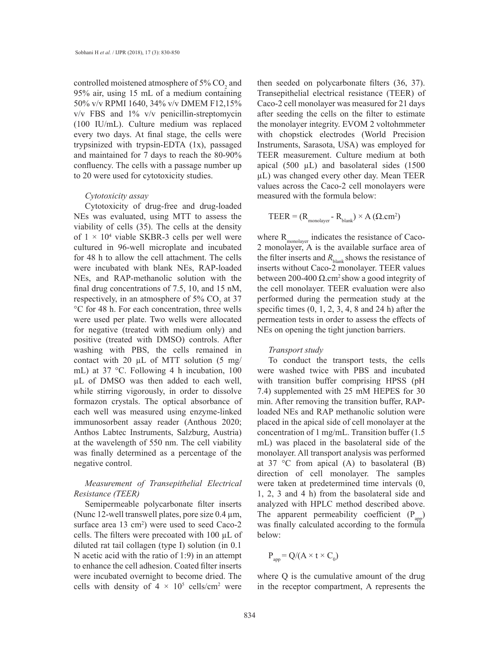controlled moistened atmosphere of 5%  $CO<sub>2</sub>$  and 95% air, using 15 mL of a medium containing 50% v/v RPMI 1640, 34% v/v DMEM F12,15% v/v FBS and 1% v/v penicillin-streptomycin (100 IU/mL). Culture medium was replaced every two days. At final stage, the cells were trypsinized with trypsin-EDTA (1x), passaged and maintained for 7 days to reach the 80-90% confluency. The cells with a passage number up to 20 were used for cytotoxicity studies.

#### *Cytotoxicity assay*

Cytotoxicity of drug-free and drug-loaded NEs was evaluated, using MTT to assess the viability of cells (35). The cells at the density of  $1 \times 10^4$  viable SKBR-3 cells per well were cultured in 96-well microplate and incubated for 48 h to allow the cell attachment. The cells were incubated with blank NEs, RAP-loaded NEs, and RAP-methanolic solution with the final drug concentrations of 7.5, 10, and 15 nM, respectively, in an atmosphere of 5%  $CO<sub>2</sub>$  at 37 °C for 48 h. For each concentration, three wells were used per plate. Two wells were allocated for negative (treated with medium only) and positive (treated with DMSO) controls. After washing with PBS, the cells remained in contact with 20  $\mu$ L of MTT solution (5 mg/ mL) at 37 °C. Following 4 h incubation, 100 µL of DMSO was then added to each well, while stirring vigorously, in order to dissolve formazon crystals. The optical absorbance of each well was measured using enzyme-linked immunosorbent assay reader (Anthous 2020; Anthos Labtec Instruments, Salzburg, Austria) at the wavelength of 550 nm. The cell viability was finally determined as a percentage of the negative control.

# *Measurement of Transepithelial Electrical Resistance (TEER)*

Semipermeable polycarbonate filter inserts (Nunc 12-well transwell plates, pore size  $0.4 \mu m$ , surface area  $13 \text{ cm}^2$ ) were used to seed Caco-2 cells. The filters were precoated with 100 µL of diluted rat tail collagen (type Ι) solution (in 0.1 N acetic acid with the ratio of 1:9) in an attempt to enhance the cell adhesion. Coated filter inserts were incubated overnight to become dried. The cells with density of  $4 \times 10^5$  cells/cm<sup>2</sup> were then seeded on polycarbonate filters (36, 37). Transepithelial electrical resistance (TEER) of Caco-2 cell monolayer was measured for 21 days after seeding the cells on the filter to estimate the monolayer integrity. EVOM 2 voltohmmeter with chopstick electrodes (World Precision Instruments, Sarasota, USA) was employed for TEER measurement. Culture medium at both apical (500  $\mu$ L) and basolateral sides (1500 µL) was changed every other day. Mean TEER values across the Caco-2 cell monolayers were measured with the formula below:

$$
TEER = (R_{\text{monolayer}} - R_{\text{blank}}) \times A (Q.cm^2)
$$

where  $R_{\text{monolayer}}$  indicates the resistance of Caco-2 monolayer, A is the available surface area of the filter inserts and  $R_{\text{blank}}$  shows the resistance of inserts without Caco-2 monolayer. TEER values between 200-400 Ω.cm<sup>2</sup> show a good integrity of the cell monolayer. TEER evaluation were also performed during the permeation study at the specific times  $(0, 1, 2, 3, 4, 8$  and  $24$  h) after the permeation tests in order to assess the effects of NEs on opening the tight junction barriers.

### *Transport study*

To conduct the transport tests, the cells were washed twice with PBS and incubated with transition buffer comprising HPSS (pH 7.4) supplemented with 25 mM HEPES for 30 min. After removing the transition buffer, RAPloaded NEs and RAP methanolic solution were placed in the apical side of cell monolayer at the concentration of 1 mg/mL. Transition buffer (1.5 mL) was placed in the basolateral side of the monolayer. All transport analysis was performed at 37  $\degree$ C from apical (A) to basolateral (B) direction of cell monolayer. The samples were taken at predetermined time intervals (0, 1, 2, 3 and 4 h) from the basolateral side and analyzed with HPLC method described above. The apparent permeability coefficient  $(P_{app})$ was finally calculated according to the formula below:

$$
P_{app} = Q/(A \times t \times C_0)
$$

where Q is the cumulative amount of the drug in the receptor compartment, A represents the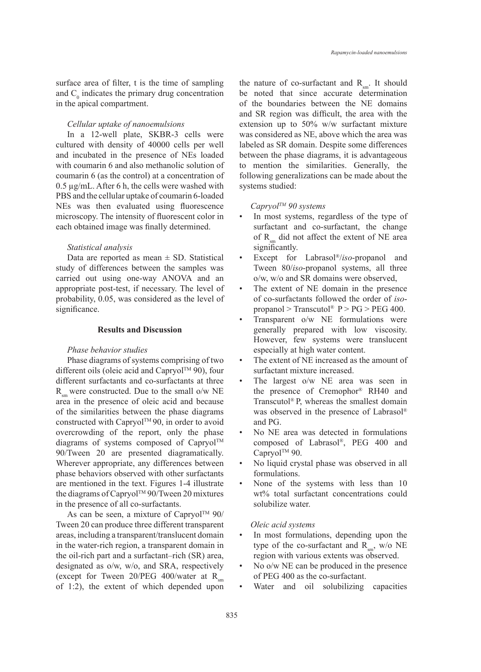surface area of filter, t is the time of sampling and  $C_0$  indicates the primary drug concentration in the apical compartment.

# *Cellular uptake of nanoemulsions*

In a 12-well plate, SKBR-3 cells were cultured with density of 40000 cells per well and incubated in the presence of NEs loaded with coumarin 6 and also methanolic solution of coumarin 6 (as the control) at a concentration of 0.5 µg/mL. After 6 h, the cells were washed with PBS and the cellular uptake of coumarin 6-loaded NEs was then evaluated using fluorescence microscopy. The intensity of fluorescent color in each obtained image was finally determined.

#### *Statistical analysis*

Data are reported as mean  $\pm$  SD. Statistical study of differences between the samples was carried out using one-way ANOVA and an appropriate post-test, if necessary. The level of probability, 0.05, was considered as the level of significance.

# **Results and Discussion**

### *Phase behavior studies*

Phase diagrams of systems comprising of two different oils (oleic acid and Capryol<sup>TM</sup> 90), four different surfactants and co-surfactants at three  $R_{\text{cm}}$  were constructed. Due to the small o/w NE area in the presence of oleic acid and because of the similarities between the phase diagrams constructed with Capryol™90, in order to avoid overcrowding of the report, only the phase diagrams of systems composed of Capryol<sup>TM</sup> 90/Tween 20 are presented diagramatically. Wherever appropriate, any differences between phase behaviors observed with other surfactants are mentioned in the text. Figures 1-4 illustrate the diagrams of Capryol<sup>TM</sup> 90/Tween 20 mixtures in the presence of all co-surfactants.

As can be seen, a mixture of Capryol<sup>TM</sup> 90/ Tween 20 can produce three different transparent areas, including a transparent/translucent domain in the water-rich region, a transparent domain in the oil-rich part and a surfactant–rich (SR) area, designated as o/w, w/o, and SRA, respectively (except for Tween  $20/PEG 400/water$  at R<sub>sm</sub> of 1:2), the extent of which depended upon

the nature of co-surfactant and  $R_{\rm sm}$ . It should be noted that since accurate determination of the boundaries between the NE domains and SR region was difficult, the area with the extension up to 50% w/w surfactant mixture was considered as NE, above which the area was labeled as SR domain. Despite some differences between the phase diagrams, it is advantageous to mention the similarities. Generally, the following generalizations can be made about the systems studied:

### *CapryolTM 90 systems*

- In most systems, regardless of the type of surfactant and co-surfactant, the change of  $R_{sm}$  did not affect the extent of NE area significantly.
- Except for Labrasol®/*iso*-propanol and Tween 80/*iso*-propanol systems, all three o/w, w/o and SR domains were observed,
- The extent of NE domain in the presence of co-surfactants followed the order of *iso*propanol > Transcutol®  $P > PG > PEG$  400.
- Transparent o/w NE formulations were generally prepared with low viscosity. However, few systems were translucent especially at high water content.
- The extent of NE increased as the amount of surfactant mixture increased.
- The largest o/w NE area was seen in the presence of Cremophor® RH40 and Transcutol® P, whereas the smallest domain was observed in the presence of Labrasol® and PG.
- No NE area was detected in formulations composed of Labrasol®, PEG 400 and Capryol™ 90.
- No liquid crystal phase was observed in all formulations.
- None of the systems with less than 10 wt% total surfactant concentrations could solubilize water.

#### *Oleic acid systems*

- In most formulations, depending upon the type of the co-surfactant and  $R_{\text{max}}$ , w/o NE region with various extents was observed.
- No o/w NE can be produced in the presence of PEG 400 as the co-surfactant.
- Water and oil solubilizing capacities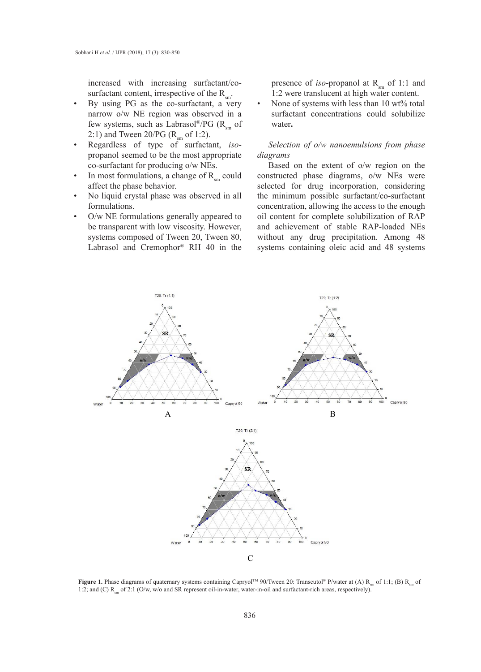increased with increasing surfactant/cosurfactant content, irrespective of the  $R_{\rm sm}$ .

- By using PG as the co-surfactant, a very narrow o/w NE region was observed in a few systems, such as Labrasol®/PG ( $R_{\rm sm}$  of 2:1) and Tween 20/PG ( $R_{\text{sm}}$  of 1:2).
- Regardless of type of surfactant, *iso*propanol seemed to be the most appropriate co-surfactant for producing o/w NEs.
- In most formulations, a change of  $R_{sm}$  could constructed affect the phase behavior.
- No liquid crystal phase was observed in all formulations.
- O/w NE formulations generally appeared to be transparent with low viscosity. However, Labrasol and Cremophor® RH 40 in the

presence of *iso*-propanol at  $R_{\rm sm}$  of 1:1 and 1:2 were translucent at high water content.

None of systems with less than 10 wt% total surfactant concentrations could solubilize water**.**

*Selection of o/w nanoemulsions from phase diagrams*

systems composed of Tween 20, Tween 80, and Composition and Cremophor RH 10 in the presence of *iso-propagala* and Cremophor RH 10 in the presence of *iso-propagala* and *iso-propagala* and *iso-propagala* and *iso-propaga* Based on the extent of o/w region on the constructed phase diagrams, o/w NEs were selected for drug incorporation, considering the minimum possible surfactant/co-surfactant concentration, allowing the access to the enough O/w NE formulations generally appeared to oil content for complete solubilization of RAP and achievement of stable RAP-loaded NEs without any drug precipitation. Among 48 systems containing oleic acid and 48 systems



**Figure 1.** Phase diagrams of quaternary systems containing Capryol<sup>TM</sup> 90/Tween 20: Transcutol® P/water at (A)  $R_m$  of 1:1; (B)  $R_m$  of 1:2; and (C)  $R_m$  of 2:1 (O/w, w/o and SR represent oil-in-water, water-in-oil and surfactant-rich areas, respectively).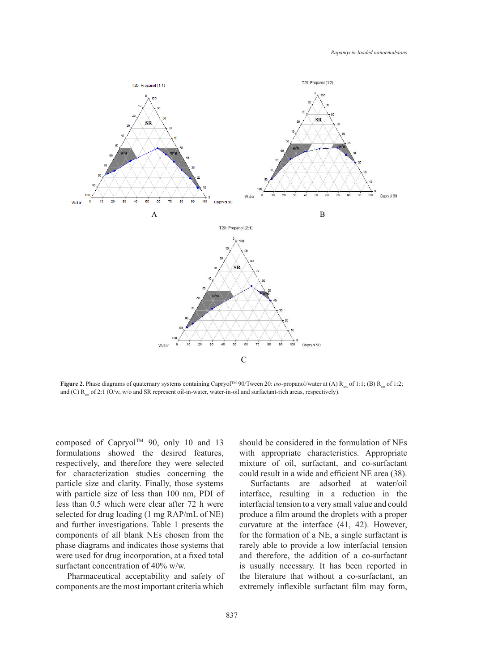

Figure 2. Phase diagrams of quaternary systems containing Capryol<sup>TM</sup> 90/Tween 20: iso-propanol/water at (A)  $R_{\rm sm}$  of 1:1; (B)  $R_{\rm sm}$  of 1:2; and  $(C)$   $R_{sm}$  of 2:1 (O/w, w/o and SR represent oil-in-water, water-in-oil and surfactant-rich areas, respectively).

surfactant concentration of 40% w/w. composed of Capryol™ 90, only 10 and 13 formulations showed the desired features, respectively, and therefore they were selected for characterization studies concerning the particle size and clarity. Finally, those systems with particle size of less than 100 nm, PDI of less than 0.5 which were clear after 72 h were selected for drug loading (1 mg RAP/mL of NE) and further investigations. Table 1 presents the components of all blank NEs chosen from the phase diagrams and indicates those systems that were used for drug incorporation, at a fixed total

Pharmaceutical acceptability and safety of components are the most important criteria which should be considered in the formulation of NEs with appropriate characteristics. Appropriate mixture of oil, surfactant, and co-surfactant could result in a wide and efficient NE area (38).

Surfactants are adsorbed at water/oil interface, resulting in a reduction in the interfacial tension to a very small value and could produce a film around the droplets with a proper curvature at the interface (41, 42). However, for the formation of a NE, a single surfactant is rarely able to provide a low interfacial tension and therefore, the addition of a co-surfactant is usually necessary. It has been reported in the literature that without a co-surfactant, an extremely inflexible surfactant film may form,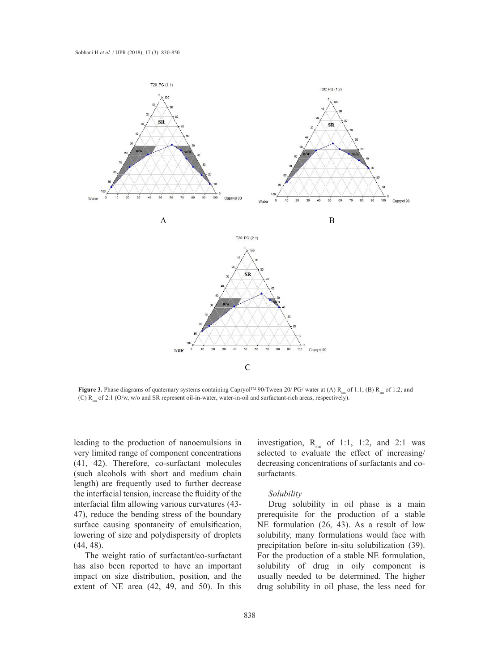

Figure 3. Phase diagrams of quaternary systems containing Capryol<sup>TM</sup> 90/Tween 20/ PG/ water at (A)  $R_{sm}$  of 1:1; (B)  $R_{sm}$  of 1:2; and (C)  $R<sub>sm</sub>$  of 2:1 (O/w, w/o and SR represent oil-in-water, water-in-oil and surfactant-rich areas, respectively).

leading to the production of nanoemulsions in very limited range of component concentrations (41, 42). Therefore, co-surfactant molecules (such alcohols with short and medium chain length) are frequently used to further decrease the interfacial tension, increase the fluidity of the interfacial film allowing various curvatures (43- 47), reduce the bending stress of the boundary surface causing spontaneity of emulsification, lowering of size and polydispersity of droplets (44, 48).

The weight ratio of surfactant/co-surfactant has also been reported to have an important impact on size distribution, position, and the extent of NE area (42, 49, and 50). In this

investigation,  $R_{sm}$  of 1:1, 1:2, and 2:1 was selected to evaluate the effect of increasing/ decreasing concentrations of surfactants and cosurfactants.

### *Solubility*

Drug solubility in oil phase is a main prerequisite for the production of a stable NE formulation (26, 43). As a result of low solubility, many formulations would face with precipitation before in-situ solubilization (39). For the production of a stable NE formulation, solubility of drug in oily component is usually needed to be determined. The higher drug solubility in oil phase, the less need for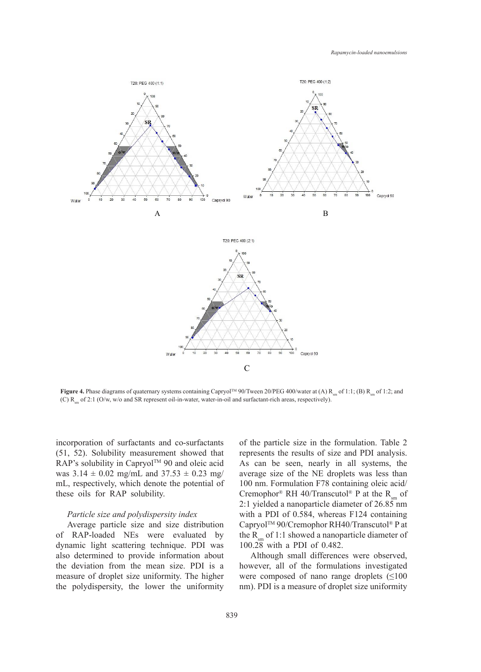

**Figure 4.** Phase diagrams of quaternary systems containing Capryol<sup>TM</sup> 90/Tween 20/PEG 400/water at (A)  $R_{sm}$  of 1:1; (B)  $R_{sm}$  of 1:2; and  $(C)$  R<sub>sm</sub> of 2:1 (O/w, w/o and SR represent oil-in-water, water-in-oil and surfactant-rich areas, respectively).

incorporation of surfactants and co-surfactants (51, 52). Solubility measurement showed that RAP's solubility in Capryol™ 90 and oleic acid was  $3.14 \pm 0.02$  mg/mL and  $37.53 \pm 0.23$  mg/ mL, respectively, which denote the potential of these oils for RAP solubility.

### *Particle size and polydispersity index*

Average particle size and size distribution of RAP-loaded NEs were evaluated by dynamic light scattering technique. PDI was also determined to provide information about the deviation from the mean size. PDI is a measure of droplet size uniformity. The higher the polydispersity, the lower the uniformity

of the particle size in the formulation. Table 2 represents the results of size and PDI analysis. As can be seen, nearly in all systems, the average size of the NE droplets was less than 100 nm. Formulation F78 containing oleic acid/ Cremophor® RH 40/Transcutol® P at the  $R_{cm}$  of 2:1 yielded a nanoparticle diameter of 26.85 nm with a PDI of 0.584, whereas F124 containing CapryolTM 90/Cremophor RH40/Transcutol® P at the  $R_{\text{sm}}$  of 1:1 showed a nanoparticle diameter of 100.28 with a PDI of 0.482.

Although small differences were observed, however, all of the formulations investigated were composed of nano range droplets  $(\leq 100$ nm). PDI is a measure of droplet size uniformity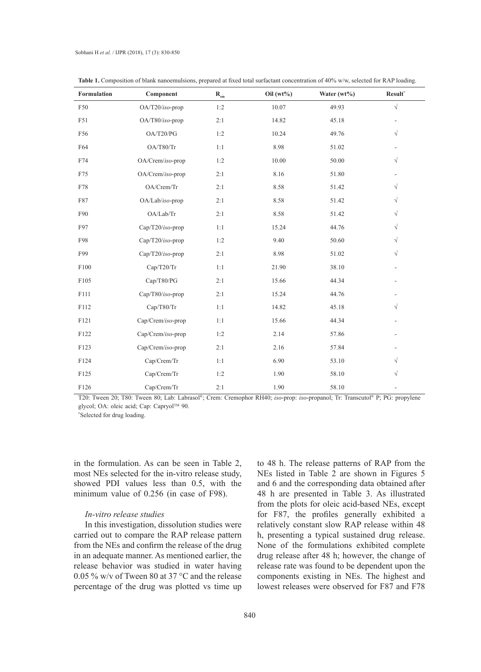| Formulation  | Component           | $\mathbf{R}_{\mathrm{sm}}$ | Oil $(wt\%)$ | Water (wt%) | Result*                  |
|--------------|---------------------|----------------------------|--------------|-------------|--------------------------|
| F50          | $OA/T20/iso$ -prop  | 1:2                        | 10.07        | 49.93       | $\sqrt{ }$               |
| F51          | OA/T80/iso-prop     | 2:1                        | 14.82        | 45.18       | $\overline{\phantom{0}}$ |
| F56          | OA/T20/PG           | 1:2                        | 10.24        | 49.76       | $\sqrt{}$                |
| F64          | OA/T80/Tr           | 1:1                        | 8.98         | 51.02       |                          |
| F74          | OA/Crem/iso-prop    | 1:2                        | 10.00        | 50.00       | $\sqrt{}$                |
| F75          | OA/Crem/iso-prop    | 2:1                        | 8.16         | 51.80       |                          |
| F78          | OA/Crem/Tr          | 2:1                        | 8.58         | 51.42       | $\sqrt{}$                |
| F87          | OA/Lab/iso-prop     | 2:1                        | 8.58         | 51.42       | $\sqrt{}$                |
| F90          | OA/Lab/Tr           | 2:1                        | 8.58         | 51.42       | $\sqrt{}$                |
| F97          | $Cap/T20/iso$ -prop | 1:1                        | 15.24        | 44.76       | $\sqrt{}$                |
| F98          | Cap/T20/iso-prop    | 1:2                        | 9.40         | 50.60       | $\sqrt{}$                |
| F99          | $Cap/T20/iso$ -prop | 2:1                        | 8.98         | 51.02       | $\sqrt{}$                |
| ${\rm F100}$ | Cap/T20/Tr          | 1:1                        | 21.90        | 38.10       |                          |
| F105         | Cap/T80/PG          | 2:1                        | 15.66        | 44.34       |                          |
| F111         | Cap/T80/iso-prop    | 2:1                        | 15.24        | 44.76       |                          |
| F112         | Cap/T80/Tr          | 1:1                        | 14.82        | 45.18       | $\sqrt{}$                |
| F121         | Cap/Crem/iso-prop   | 1:1                        | 15.66        | 44.34       |                          |
| F122         | Cap/Crem/iso-prop   | 1:2                        | 2.14         | 57.86       |                          |
| F123         | Cap/Crem/iso-prop   | 2:1                        | 2.16         | 57.84       |                          |
| F124         | Cap/Crem/Tr         | 1:1                        | 6.90         | 53.10       | $\sqrt{}$                |
| F125         | Cap/Crem/Tr         | 1:2                        | 1.90         | 58.10       | $\sqrt{}$                |
| F126         | Cap/Crem/Tr         | 2:1                        | 1.90         | 58.10       | ۰                        |

**Table 1.** Composition of blank nanoemulsions, prepared at fixed total surfactant concentration of 40% w/w, selected for RAP loading.

T20: Tween 20; T80: Tween 80; Lab: Labrasol®; Crem: Cremophor RH40; *iso*-prop: *iso*-propanol; Tr: Transcutol® P; PG: propylene glycol; OA: oleic acid; Cap: Capryol™ 90.

\* Selected for drug loading.

in the formulation. As can be seen in Table 2, most NEs selected for the in-vitro release study, showed PDI values less than 0.5, with the minimum value of 0.256 (in case of F98).

### *In-vitro release studies*

In this investigation, dissolution studies were carried out to compare the RAP release pattern from the NEs and confirm the release of the drug in an adequate manner. As mentioned earlier, the release behavior was studied in water having 0.05 % w/v of Tween 80 at 37 °C and the release percentage of the drug was plotted vs time up to 48 h. The release patterns of RAP from the NEs listed in Table 2 are shown in Figures 5 and 6 and the corresponding data obtained after 48 h are presented in Table 3. As illustrated from the plots for oleic acid-based NEs, except for F87, the profiles generally exhibited a relatively constant slow RAP release within 48 h, presenting a typical sustained drug release. None of the formulations exhibited complete drug release after 48 h; however, the change of release rate was found to be dependent upon the components existing in NEs. The highest and lowest releases were observed for F87 and F78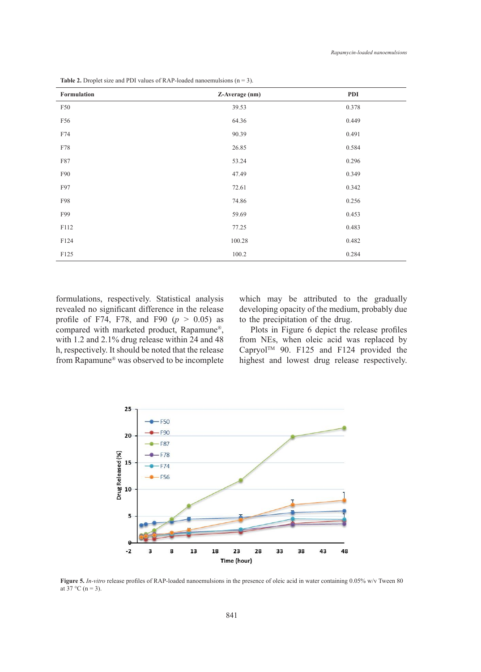| Formulation | Z-Average (nm) | PDI   |
|-------------|----------------|-------|
| F50         | 39.53          | 0.378 |
| F56         | 64.36          | 0.449 |
| F74         | 90.39          | 0.491 |
| F78         | 26.85          | 0.584 |
| F87         | 53.24          | 0.296 |
| F90         | 47.49          | 0.349 |
| F97         | 72.61          | 0.342 |
| F98         | 74.86          | 0.256 |
| F99         | 59.69          | 0.453 |
| F112        | 77.25          | 0.483 |
| F124        | 100.28         | 0.482 |
| F125        | 100.2          | 0.284 |

**Table 2.** Droplet size and PDI values of RAP-loaded nanoemulsions  $(n = 3)$ .

revealed no significant difference in the release profile of F74, F78, and F90  $(p > 0.05)$  as to the precipitation of the drug. compared with marketed product, Rapamune®, with 1.2 and 2.1% drug release within 24 and 48 h, respectively. It should be noted that the release from Rapamune® was observed to be incomplete

formulations, respectively. Statistical analysis which may be attributed to the gradua which may be attributed to the gradually developing opacity of the medium, probably due to the precipitation of the drug.

Plots in Figure 6 depict the release profiles with 1.2 and 2.1% drug release within 24 and 48 h from NEs, when oleic acid was replaced by Capryol™ 90. F125 and F124 provided the  $h,$  respectively. It should be hoted that the release  $\alpha$  expression of  $\alpha$ . If  $25$  and  $112$  provided the from Rapamune® was observed to be incomplete highest and lowest drug release respectively.



Figure 5. In-vitro release profiles of RAP-loaded nanoemulsions in the presence of oleic acid in water containing 0.05% w/v Tween 80 at 37 °C (n = 3).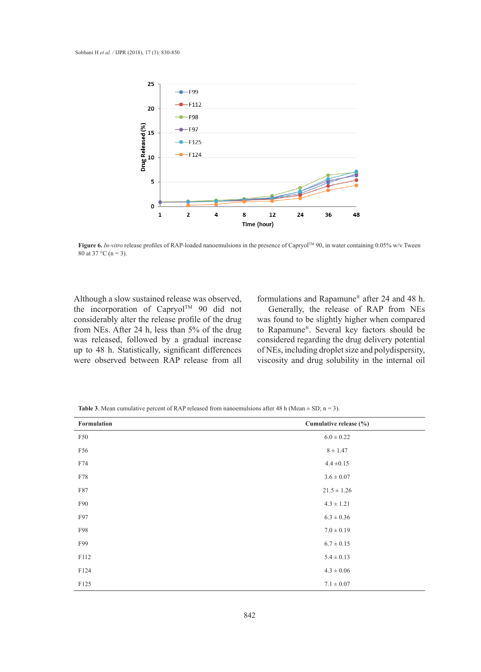

Figure 6. In-vitro release profiles of RAP-loaded nanoemulsions in the presence of Capryol<sup>TM</sup> 90, in water containing 0.05% w/v Tween 80 at 37 °C (n = 3).

Although a slow sustained release was observed, formulations and Rapamune<sup>®</sup> after 24 and considerably alter the release profile of the drug was found to be slightly higher when con from NEs. After 24 h, less than 5% of the drug to Rapamune<sup>®</sup>. Several key factors show up to 48 h. Statistically, significant differences of NEs, including droplet size and polydisp the incorporation of Capryol<sup>TM</sup> 90 did not was released, followed by a gradual increase were observed between RAP release from all

formulations and Rapamune® after 24 and 48 h.

Generally, the release of RAP from NEs was found to be slightly higher when compared to Rapamune®. Several key factors should be considered regarding the drug delivery potential of NEs, including droplet size and polydispersity, viscosity and drug solubility in the internal oil

| Formulation | Cumulative release (%) |
|-------------|------------------------|
| F50         | $6.0 \pm 0.22$         |
| F56         | $8 \pm 1.47$           |
| F74         | $4.4 \pm 0.15$         |
| F78         | $3.6 \pm 0.07$         |
| F87         | $21.5 \pm 1.26$        |
| F90         | $4.3 \pm 1.21$         |
| F97         | $6.3 \pm 0.36$         |
| F98         | $7.0 \pm 0.19$         |
| F99         | $6.7 \pm 0.15$         |
| F112        | $5.4 \pm 0.13$         |
| F124        | $4.3 \pm 0.06$         |
| F125        | $7.1 \pm 0.07$         |

**Table 3**. Mean cumulative percent of RAP released from nanoemulsions after 48 h (Mean  $\pm$  SD; n = 3).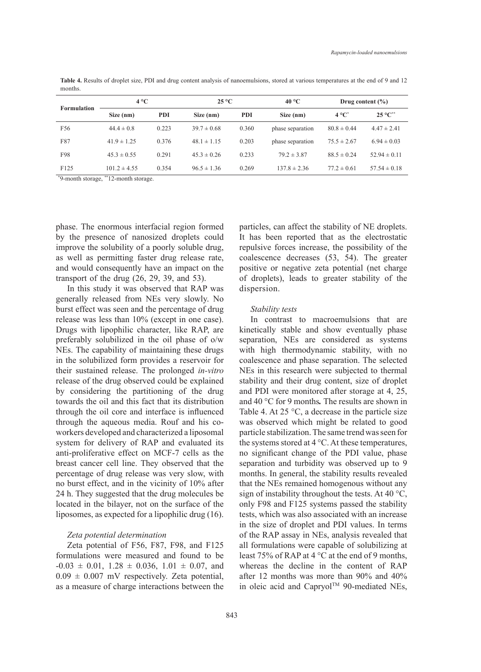**Table 4.** Results of droplet size, PDI and drug content analysis of nanoemulsions, stored at various temperatures at the end of 9 and 12 months.

| <b>Formulation</b> | $4^{\circ}C$     |            | $25^{\circ}$ C  |            | $40^{\circ}$ C   | Drug content $(\% )$ |                    |
|--------------------|------------------|------------|-----------------|------------|------------------|----------------------|--------------------|
|                    | Size (nm)        | <b>PDI</b> | Size (nm)       | <b>PDI</b> | Size (nm)        | $4^{\circ}C^{*}$     | $25^{\circ}C^{**}$ |
| F56                | $44.4 \pm 0.8$   | 0.223      | $39.7 \pm 0.68$ | 0.360      | phase separation | $80.8 \pm 0.44$      | $4.47 \pm 2.41$    |
| F87                | $41.9 \pm 1.25$  | 0.376      | $48.1 \pm 1.15$ | 0.203      | phase separation | $75.5 \pm 2.67$      | $6.94 \pm 0.03$    |
| F98                | $45.3 \pm 0.55$  | 0.291      | $45.3 \pm 0.26$ | 0.233      | $79.2 \pm 3.87$  | $88.5 \pm 0.24$      | $52.94 \pm 0.11$   |
| F125               | $101.2 \pm 4.55$ | 0.354      | $96.5 \pm 1.36$ | 0.269      | $137.8 \pm 2.36$ | $77.2 \pm 0.61$      | $57.54 \pm 0.18$   |
|                    |                  |            |                 |            |                  |                      |                    |

\* 9-month storage, \*\*12-month storage.

phase. The enormous interfacial region formed by the presence of nanosized droplets could improve the solubility of a poorly soluble drug, as well as permitting faster drug release rate, and would consequently have an impact on the transport of the drug (26, 29, 39, and 53).

In this study it was observed that RAP was generally released from NEs very slowly. No burst effect was seen and the percentage of drug release was less than 10% (except in one case). Drugs with lipophilic character, like RAP, are preferably solubilized in the oil phase of o/w NEs. The capability of maintaining these drugs in the solubilized form provides a reservoir for their sustained release. The prolonged *in-vitro* release of the drug observed could be explained by considering the partitioning of the drug towards the oil and this fact that its distribution through the oil core and interface is influenced through the aqueous media. Rouf and his coworkers developed and characterized a liposomal system for delivery of RAP and evaluated its anti-proliferative effect on MCF-7 cells as the breast cancer cell line. They observed that the percentage of drug release was very slow, with no burst effect, and in the vicinity of 10% after 24 h. They suggested that the drug molecules be located in the bilayer, not on the surface of the liposomes, as expected for a lipophilic drug (16).

### *Zeta potential determination*

Zeta potential of F56, F87, F98, and F125 formulations were measured and found to be  $-0.03 \pm 0.01$ ,  $1.28 \pm 0.036$ ,  $1.01 \pm 0.07$ , and  $0.09 \pm 0.007$  mV respectively. Zeta potential, as a measure of charge interactions between the particles, can affect the stability of NE droplets. It has been reported that as the electrostatic repulsive forces increase, the possibility of the coalescence decreases (53, 54). The greater positive or negative zeta potential (net charge of droplets), leads to greater stability of the dispersion.

#### *Stability tests*

In contrast to macroemulsions that are kinetically stable and show eventually phase separation, NEs are considered as systems with high thermodynamic stability, with no coalescence and phase separation. The selected NEs in this research were subjected to thermal stability and their drug content, size of droplet and PDI were monitored after storage at 4, 25, and 40 °C for 9 months*.* The results are shown in Table 4. At 25  $\degree$ C, a decrease in the particle size was observed which might be related to good particle stabilization. The same trend was seen for the systems stored at 4 °C. At these temperatures, no significant change of the PDI value, phase separation and turbidity was observed up to 9 months. In general, the stability results revealed that the NEs remained homogenous without any sign of instability throughout the tests. At 40 °C, only F98 and F125 systems passed the stability tests, which was also associated with an increase in the size of droplet and PDI values. In terms of the RAP assay in NEs, analysis revealed that all formulations were capable of solubilizing at least 75% of RAP at 4 °C at the end of 9 months, whereas the decline in the content of RAP after 12 months was more than 90% and 40% in oleic acid and Capryol<sup>TM</sup> 90-mediated NEs,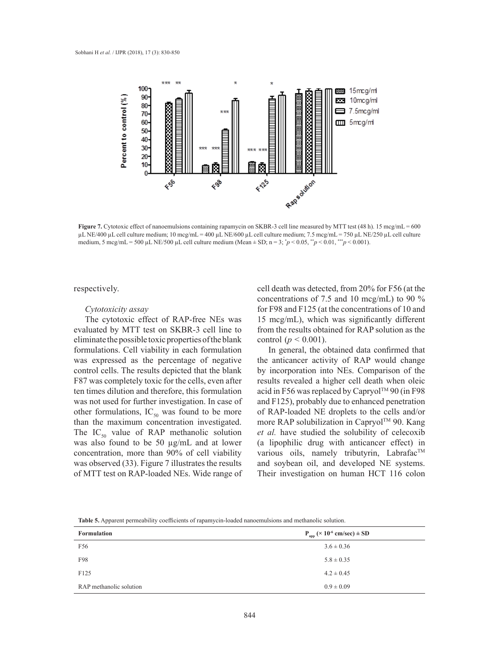

Figure 7. Cytotoxic effect of nanoemulsions containing rapamycin on SKBR-3 cell line measured by MTT test (48 h). 15 mcg/mL = 600 µL NE/400 μL cell culture medium; 10 mcg/mL = 400 μL NE/600 μL cell culture medium; 7.5 mcg/mL = 750 μL NE/250 μL cell culture medium, 5 mcg/mL = 500 µL NE/500 µL cell culture medium (Mean  $\pm$  SD; n = 3;  $\gamma p$  < 0.05,  $\gamma p$  < 0.01,  $\gamma p$  < 0.001).

respectively.

#### *Cytotoxicity assay*

The cytotoxic effect of RAP-free NEs was evaluated by MTT test on SKBR-3 cell line to eliminate the possible toxic properties of the blank Final tempossible to the properties of the blank control  $(p > 0.001)$ .<br>formulations. Cell viability in each formulation In general, the obtained data confirmed that was expressed as the percentage of negative control cells. The results depicted that the blank F87 was completely toxic for the cells, even after ten times dilution and therefore, this formulation was not used for further investigation. In case of other formulations,  $IC_{50}$  was found to be more than the maximum concentration investigated. was also found to be 50 µg/mL and at lower concentration, more than 90% of cell viability was observed (33). Figure 7 illustrates the results of MTT test on RAP-loaded NEs. Wide range of

cell death was detected, from 20% for F56 (at the concentrations of 7.5 and 10 mcg/mL) to 90 %  $\mathcal{E}$ ytotoxicity assay  $\mathcal{E}$  for F98 and F125 (at the concentrations of 10 and 15 mcg/mL), which was significantly different uated by MTT test on SKBR-3 cell line to from the results obtained for RAP solution as the control ( $p < 0.001$ ).

The IC<sub>50</sub> value of RAP methanolic solution *et al.* have studied the solubility of celecoxib In general, the obtained data confirmed that expressed as the percentage of negative the anticancer activity of RAP would change by incorporation into NEs. Comparison of the was completely toxic for the cells, even after results revealed a higher cell death when oleic acid in F56 was replaced by Capryol™ 90 (in F98 not used for further investigation. In case of and F125), probably due to enhanced penetration of RAP-loaded NE droplets to the cells and/or the maximum concentration investigated. more RAP solubilization in Capryol<sup>TM</sup> 90. Kang *et al.* have studied the solubility of celecoxib (a lipophilic drug with anticancer effect) in  $t$ entration, more than 90% of cell viability various oils, namely tributyrin, Labrafac<sup>TM</sup> and soybean oil, and developed NE systems. ITT test on RAP-loaded NEs. Wide range of Their investigation on human HCT 116 colon

**Table 5.** Apparent permeability coefficients of rapamycin-loaded nanoemulsions and methanolic solution.

| <b>Formulation</b>      | $P_{app}$ (× 10 <sup>-6</sup> cm/sec) ± SD |
|-------------------------|--------------------------------------------|
| F56                     | $3.6 \pm 0.36$                             |
| F98                     | $5.8 \pm 0.35$                             |
| F <sub>125</sub>        | $4.2 \pm 0.45$                             |
| RAP methanolic solution | $0.9 \pm 0.09$                             |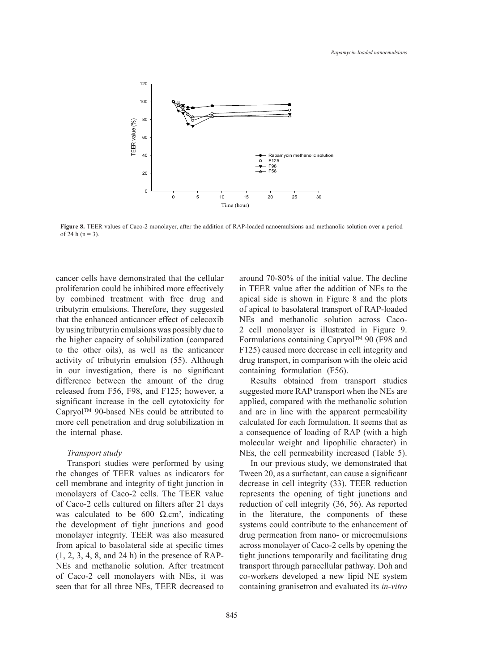

Figure 8. TEER values of Caco-2 monolayer, after the addition of RAP-loaded nanoemulsions and methanolic solution over a period of 24 h (n = 3).

cancer cells have demonstrated that the cellular proliferation could be inhibited more effectively by combined treatment with free drug and tributyrin emulsions. Therefore, they suggested that the enhanced anticancer effect of celecoxib by using tributyrin emulsions was possibly due to 6 the higher capacity of solubilization (compared to the other oils), as well as the anticancer activity of tributyrin emulsion (55). Although in our investigation, there is no significant difference between the amount of the drug released from F56, F98, and F125; however, a significant increase in the cell cytotoxicity for applied, compared Capryol<sup>TM</sup> 90-based NEs could be attributed to more cell penetration and drug solubilization in the internal phase. ri<br>ci<br>il:

#### *Transport study*

Transport studies were performed by using the changes of TEER values as indicators for cell membrane and integrity of tight junction in monolayers of Caco-2 cells. The TEER value of Caco-2 cells cultured on filters after 21 days was calculated to be 600  $\Omega$ .cm<sup>2</sup>, indicating the development of tight junctions and good monolayer integrity. TEER was also measured from apical to basolateral side at specific times (1, 2, 3, 4, 8, and 24 h) in the presence of RAP-NEs and methanolic solution. After treatment of Caco-2 cell monolayers with NEs, it was seen that for all three NEs, TEER decreased to

around 70-80% of the initial value. The decline in TEER value after the addition of NEs to the apical side is shown in Figure 8 and the plots of apical to basolateral transport of RAP-loaded NEs and methanolic solution across Caco-2 cell monolayer is illustrated in Figure 9. Formulations containing Capryol<sup>TM</sup> 90 (F98 and F125) caused more decrease in cell integrity and drug transport, in comparison with the oleic acid  $\frac{1}{2}$  containing formulation (F56).

Results obtained from transport studies suggested more RAP transport when the NEs are applied, compared with the methanolic solution and are in line with the apparent permeability calculated for each formulation. It seems that as **Figure 1 Figure 1 Figure 1 Figure 1 Figure 1 Figure 1 Figure 1 Consequence of loading of RAP** (with a high molecular weight and lipophilic character) in NEs, the cell permeability increased (Table 5).

In our previous study, we demonstrated that Tween 20, as a surfactant, can cause a significant ed changes of TEER values as indicators for Tween 20, as a surfacture, can cause a significant relation from the Nes are Reduction in the Nes are applied more relation in onolayers of Caco-2 cells. The TEER value represents the opening of tight junctions and reduction of cell integrity (36, 56). As reported as calculated to be 600  $\Omega$ .cm<sup>2</sup>, indicating in the literature, the components of these systems could contribute to the enhancement of drug permeation from nano- or microemulsions across monolayer of Caco-2 cells by opening the  $1, 2, 3, 4, 8$ , and 24 h) in the presence of RAP-<br>Tight junctions temporarily and facilitating drug and  $\frac{1}{2}$ . Es and methanolic solution. After treatment transport through paracellular pathway. Doh and co-workers developed a new lipid NE system containing granisetron and evaluated its *in-vitro*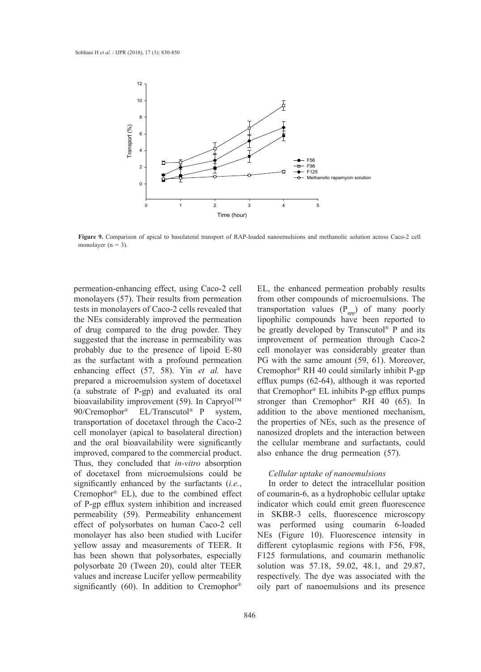

Figure 9. Comparison of apical to basolateral transport of RAP-loaded nanoemulsions and methanolic solution across Caco-2 cell monolayer  $(n = 3)$ .

permeation-enhancing effect, using Caco-2 cell monolayers (57). Their results from permeation tests in monolayers of Caco-2 cells revealed that the NEs considerably improved the permeation of drug compared to the drug powder. They suggested that the increase in permeability was probably due to the presence of lipoid E-80 as the surfactant with a profound permeation enhancing effect (57, 58). Yin *et al.* have prepared a microemulsion system of docetaxel (a substrate of P-gp) and evaluated its oral bioavailability improvement (59). In Capryol<sup>TM</sup> 90/Cremophor® EL/Transcutol® P system, transportation of docetaxel through the Caco-2 cell monolayer (apical to basolateral direction) and the oral bioavailability were significantly improved, compared to the commercial product. Thus, they concluded that *in-vitro* absorption of docetaxel from microemulsions could be significantly enhanced by the surfactants (*i.e.*, Cremophor® EL), due to the combined effect of P-gp efflux system inhibition and increased permeability (59). Permeability enhancement effect of polysorbates on human Caco-2 cell monolayer has also been studied with Lucifer yellow assay and measurements of TEER. It has been shown that polysorbates, especially polysorbate 20 (Tween 20), could alter TEER values and increase Lucifer yellow permeability significantly (60). In addition to Cremophor®

EL, the enhanced permeation probably results honolayers (57). Their results from permeation from other compounds of microemulsions. The transportation values  $(P_{app})$  of many poorly lies in increasing the consequence of the contracted time to think that the molecular with  $\frac{1}{\text{app}}$ . The components of  $\frac{1}{\text{app}}$ be greatly developed by Transcutol® P and its improvement of permeation through Caco-2 robably due to the presence of lipoid E-80 cell monolayer was considerably greater than PG with the same amount (59, 61). Moreover, nhancing effect (57, 58). Yin et al. have Cremophor® RH 40 could similarly inhibit P-gp efflux pumps (62-64), although it was reported that Cremophor® EL inhibits P-gp efflux pumps stronger than Cremophor® RH 40 (65). In addition to the above mentioned mechanism, the properties of NEs, such as the presence of nanosized droplets and the interaction between the cellular membrane and surfactants, could also enhance the drug permeation (57).

# *Cellular uptake of nanoemulsions*

In order to detect the intracellular position of coumarin-6, as a hydrophobic cellular uptake indicator which could emit green fluorescence in SKBR-3 cells, fluorescence microscopy was performed using coumarin 6-loaded NEs (Figure 10). Fluorescence intensity in different cytoplasmic regions with F56, F98, F125 formulations, and coumarin methanolic solution was 57.18, 59.02, 48.1, and 29.87, respectively. The dye was associated with the oily part of nanoemulsions and its presence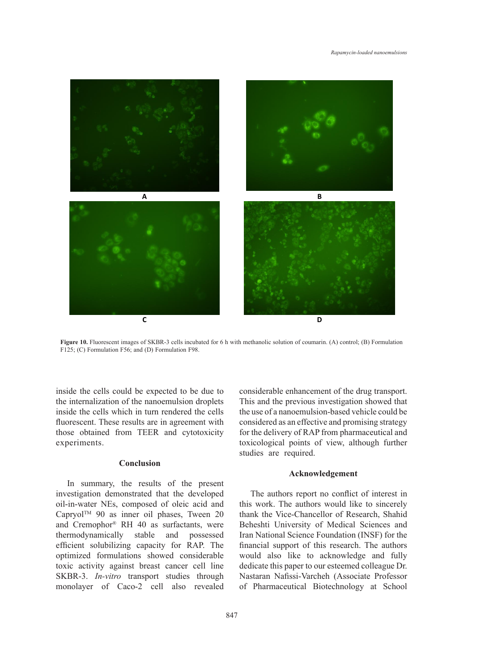

**Figure 10.** Fluorescent images of SKBR-3 cells incubated for 6 h with methanolic solution of coumarin. (A) control; (B) Formulation  $F_{125}$ F125; (C) Formulation F56; and (D) Formulation F98.

inside the cells could be expected to be due to the internalization of the nanoemulsion droplets inside the cells which in turn rendered the cells fluorescent. These results are in agreement with those obtained from TEER and cytotoxicity experiments.

### **Conclusion**

In summary, the results of the present investigation demonstrated that the developed oil-in-water NEs, composed of oleic acid and Capryol<sup>TM</sup> 90 as inner oil phases, Tween 20 and Cremophor® RH 40 as surfactants, were thermodynamically stable and possessed efficient solubilizing capacity for RAP. The optimized formulations showed considerable toxic activity against breast cancer cell line SKBR-3. *In-vitro* transport studies through monolayer of Caco-2 cell also revealed

considerable enhancement of the drug transport. in the internalization of the nanoemulsion droplets This and the previous investigation showed that the use of a nanoemulsion-based vehicle could be consider the cents which in turn rendered the cents are the use of a handelnuision-based venicle could be unrescent. These results are in agreement with considered as an effective and promising strategy for the delivery of RAP from pharmaceutical and toxicological points of view, although further studies are required.

# **Acknowledgement**

The authors report no conflict of interest in this work. The authors would like to sincerely thank the Vice-Chancellor of Research, Shahid Beheshti University of Medical Sciences and Iran National Science Foundation (INSF) for the financial support of this research. The authors would also like to acknowledge and fully dedicate this paper to our esteemed colleague Dr. Nastaran Nafissi-Varcheh (Associate Professor of Pharmaceutical Biotechnology at School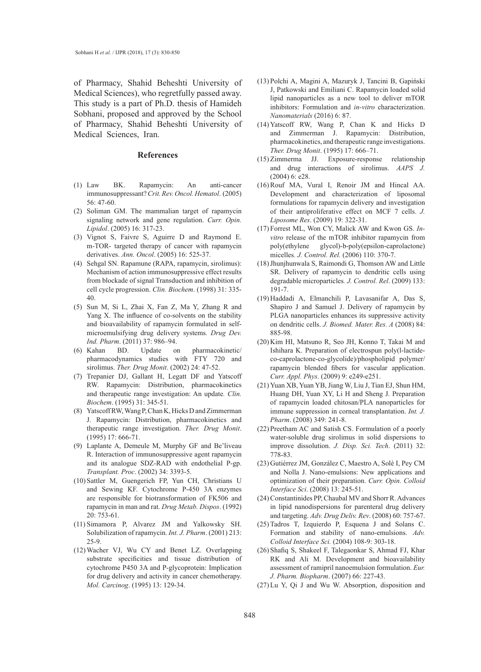of Pharmacy, Shahid Beheshti University of Medical Sciences), who regretfully passed away. This study is a part of Ph.D. thesis of Hamideh Sobhani, proposed and approved by the School of Pharmacy, Shahid Beheshti University of Medical Sciences, Iran.

#### **References**

- BK. Rapamycin: An anti-cancer immunosuppressant? *Crit. Rev. Oncol. Hematol*. (2005) 56: 47-60.  $(1)$  Law
- (2) Soliman GM. The mammalian target of rapamycin signaling network and gene regulation. *Curr. Opin. Lipidol*. (2005) 16: 317-23.
- (3) Vignot S, Faivre S, Aguirre D and Raymond E. m-TOR- targeted therapy of cancer with rapamycin derivatives. *Ann. Oncol*. (2005) 16: 525-37.
- (4) Sehgal SN. Rapamune (RAPA, rapamycin, sirolimus): Mechanism of action immunosuppressive effect results from blockade of signal Transduction and inhibition of cell cycle progression. *Clin. Biochem*. (1998) 31: 335- 40.
- (5) Sun M, Si L, Zhai X, Fan Z, Ma Y, Zhang R and Yang X. The influence of co-solvents on the stability and bioavailability of rapamycin formulated in selfmicroemulsifying drug delivery systems*. Drug Dev. Ind. Pharm*. (2011) 37: 986–94.
- BD. Update on pharmacokinetic/ pharmacodynamics studies with FTY 720 and sirolimus. *Ther. Drug Monit*. (2002) 24: 47-52. (6)
- (7) Trepanier DJ, Gallant H, Legatt DF and Yatscoff RW. Rapamycin: Distribution, pharmacokinetics and therapeutic range investigation: An update*. Clin. Biochem*. (1995) 31: 345-51.
- (8) Yatscoff RW, Wang P, Chan K, Hicks D and Zimmerman J. Rapamycin: Distribution, pharmacokinetics and therapeutic range investigation. *Ther. Drug Monit*. (1995) 17: 666-71.
- Laplante A, Demeule M, Murphy GF and Be'liveau (9) R. Interaction of immunosuppressive agent rapamycin and its analogue SDZ-RAD with endothelial P-gp. *Transplant. Proc*. (2002) 34: 3393-5.
- (10) Sattler M, Guengerich FP, Yun CH, Christians U and Sewing KF. Cytochrome P-450 3A enzymes are responsible for biotransformation of FK506 and rapamycin in man and rat. *Drug Metab. Dispos*. (1992) 20: 753-61.
- (11) Simamora P, Alvarez JM and Yalkowsky SH. Solubilization of rapamycin. *Int. J. Pharm*. (2001) 213: 25-9.
- Wacher VJ, Wu CY and Benet LZ. Overlapping (12) substrate specificities and tissue distribution of cytochrome P450 3A and P-glycoprotein: Implication for drug delivery and activity in cancer chemotherapy. *Mol. Carcinog*. (1995) 13: 129-34.
- Polchi A, Magini A, Mazuryk J, Tancini B, Gapiński (13) J, Patkowski and Emiliani C. Rapamycin loaded solid lipid nanoparticles as a new tool to deliver mTOR inhibitors: Formulation and *in-vitro* characterization. *Nanomaterials* (2016) 6: 87.
- Yatscoff RW, Wang P, Chan K and Hicks D (14) and Zimmerman J. Rapamycin: Distribution, pharmacokinetics, and therapeutic range investigations. *Ther. Drug Monit*. (1995) 17: 666–71.
- (15) Zimmerma JJ. Exposure-response relationship and drug interactions of sirolimus. *AAPS J.* (2004) 6: e28.
- $(16)$  Rouf MA, Vural I, Renoir JM and Hincal AA. Development and characterization of liposomal formulations for rapamycin delivery and investigation of their antiproliferative effect on MCF 7 cells. *J. Liposome Res*. (2009) 19: 322-31.
- Forrest ML, Won CY, Malick AW and Kwon GS. *In-*(17) *vitro* release of the mTOR inhibitor rapamycin from poly(ethylene glycol)-b-poly(epsilon-caprolactone) micelles*. J. Control. Rel.* (2006) 110: 370-7.
- (18) Jhunjhunwala S, Raimondi G, Thomson AW and Little SR. Delivery of rapamycin to dendritic cells using degradable microparticles*. J. Control. Rel*. (2009) 133: 191-7.
- Haddadi A, Elmanchili P, Lavasanifar A, Das S, (19) Shapiro J and Samuel J. Delivery of rapamycin by PLGA nanoparticles enhances its suppressive activity on dendritic cells. *J. Biomed. Mater. Res. A* (2008) 84: 885-98.
- (20) Kim HI, Matsuno R, Seo JH, Konno T, Takai M and Ishihara K. Preparation of electrospun poly(l-lactideco-caprolactone-co-glycolide)/phospholipid polymer/ rapamycin blended fibers for vascular application. *Curr. Appl. Phys*. (2009) 9: e249-e251.
- (21) Yuan XB, Yuan YB, Jiang W, Liu J, Tian EJ, Shun HM, Huang DH, Yuan XY, Li H and Sheng J. Preparation of rapamycin loaded chitosan/PLA nanoparticles for immune suppression in corneal transplantation. *Int. J. Pharm*. (2008) 349: 241-8.
- (22) Preetham AC and Satish CS. Formulation of a poorly water-soluble drug sirolimus in solid dispersions to improve dissolution. *J. Disp. Sci. Tech*. (2011) 32: 778-83.
- (23) Gutiérrez JM, González C, Maestro A, Solè I, Pey CM and Nolla J. Nano-emulsions: New applications and optimization of their preparation. *Curr. Opin. Colloid Interface Sci*. (2008) 13: 245-51.
- (24) Constantinides PP, Chaubal MV and Shorr R. Advances in lipid nanodispersions for parenteral drug delivery and targeting. *Adv. Drug Deliv. Rev*. (2008) 60: 757-67.
- $(25)$  Tadros T, Izquierdo P, Esquena J and Solans C. Formation and stability of nano-emulsions. *Adv. Colloid Interface Sci.* (2004) 108-9: 303-18.
- (26) Shafiq S, Shakeel F, Talegaonkar S, Ahmad FJ, Khar RK and Ali M. Development and bioavailability assessment of ramipril nanoemulsion formulation. *Eur. J. Pharm. Biopharm*. (2007) 66: 227-43.
- (27) Lu Y, Qi J and Wu W. Absorption, disposition and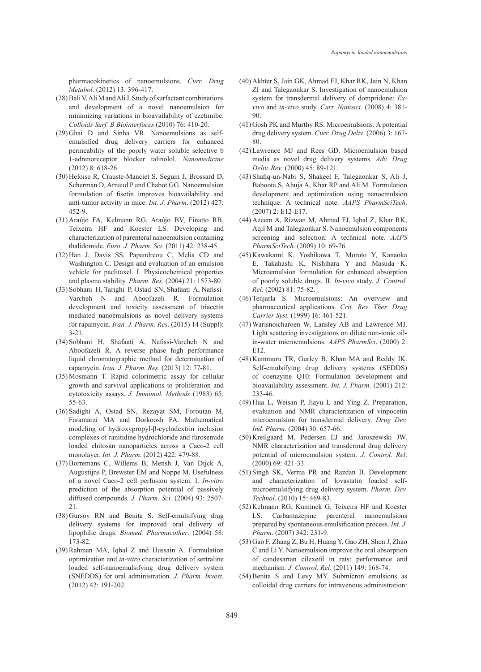pharmacokinetics of nanoemulsions. *Curr. Drug Metabol*. (2012) 13: 396-417.

- Bali V, Ali M and Ali J. Study of surfactant combinations (28) and development of a novel nanoemulsion for minimizing variations in bioavailability of ezetimibe. *Colloids Surf. B Biointerfaces* (2010) 76: 410-20.
- $(29)$  Ghai D and Sinha VR. Nanoemulsions as selfemulsified drug delivery carriers for enhanced permeability of the poorly water soluble selective b 1-adrenoreceptor blocker talinolol. *Nanomedicine* (2012) 8: 618-26.
- (30) Heloise R, Crauste-Manciet S, Seguin J, Brossard D, Scherman D, Arnaud P and Chabot GG. Nanoemulsion formulation of fisetin improves bioavailability and anti-tumor activity in mice. *Int. J. Pharm*. (2012) 427: 452-9.
- (31) Araújo FA, Kelmann RG, Araújo BV, Finatto RB, Teixeira HF and Koester LS. Developing and characterization of parenteral nanoemulsion containing thalidomide. *Euro. J. Pharm. Sci*. (2011) 42: 238-45.
- (32) Han J, Davis SS, Papandreou C, Melia CD and Washington C. Design and evaluation of an emulsion vehicle for paclitaxel. I. Physicochemical properties and plasma stability. *Pharm. Res*. (2004) 21: 1573-80.
- (33) Sobhani H, Tarighi P, Ostad SN, Shafaati A, Nafissi-Varcheh N and Aboofazeli R. Formulation development and toxicity assessment of triacetin mediated nanoemulsions as novel delivery systems for rapamycin. *Iran. J. Pharm. Res*. (2015) 14 (Suppl): 3-21.
- (34) Sobhani H, Shafaati A, Nafissi-Varcheh N and Aboofazeli R. A reverse phase high performance liquid chromatographic method for determination of rapamycin. *Iran. J. Pharm. Res*. (2013) 12: 77-81.
- (35) Mosmann T. Rapid colorimetric assay for cellular growth and survival applications to proliferation and cytotoxicity assays. *J. Immunol. Methods* (1983) 65: 55-63.
- (36) Sadighi A, Ostad SN, Rezayat SM, Foroutan M, Faramarzi MA and Dorkoosh FA. Mathematical modeling of hydroxypropyl-β-cyclodextrin inclusion complexes of ranitidine hydrochloride and furosemide loaded chitosan nanoparticles across a Caco-2 cell monolayer. *Int. J. Pharm*. (2012) 422: 479-88.
- (37) Borremans C, Willems B, Mensh J, Van Dijck A, Augustijns P, Brewster EM and Noppe M. Usefulness of a novel Caco-2 cell perfusion system. I. *In-vitro* prediction of the absorption potential of passively diffused compounds. *J. Pharm. Sci.* (2004) 93: 2507- 21.
- (38) Gursoy RN and Benita S. Self-emulsifying drug delivery systems for improved oral delivery of lipophilic drugs. *Biomed. Pharmacother*. (2004) 58: 173-82.
- (39) Rahman MA, Iqbal Z and Hussain A. Formulation optimization and *in-vitro* characterization of sertraline loaded self-nanoemulsifying drug delivery system (SNEDDS) for oral administration. *J. Pharm. Invest.* (2012) 42: 191-202.
- Akhter S, Jain GK, Ahmad FJ, Khar RK, Jain N, Khan (40) ZI and Talegaonkar S. Investigation of nanoemulsion system for transdermal delivery of dompridone: *Exvivo* and *in-vivo* study. *Curr. Nanosci*. (2008) 4: 381- 90.
- (41) Gosh PK and Murthy RS. Microemulsions: A potential drug delivery system. *Curr. Drug Deliv*. (2006) 3: 167- 80.
- Lawrence MJ and Rees GD. Microemulsion based (42) media as novel drug delivery systems. *Adv. Drug Deliv. Rev*. (2000) 45: 89-121.
- Shafiq-un-Nabi S, Shakeel F, Talegaonkar S, Ali J, (43) Baboota S, Ahuja A, Khar RP and Ali M. Formulation development and optimization using nanoemulsion technique: A technical note. *AAPS PharmSciTech*. (2007) 2: E12-E17.
- Azeem A, Rizwan M, Ahmad FJ, Iqbal Z, Khar RK, (44) Aqil M and Talegaonkar S. Nanoemulsion components screening and selection: A technical note. *AAPS PharmSciTech*. (2009) 10: 69-76.
- (45) Kawakami K, Yoshikawa T, Moroto Y, Kanaoka E, Takahashi K, Nishihara Y and Masuda K. Microemulsion formulation for enhanced absorption of poorly soluble drugs. II. *In-vivo* study. *J. Control. Rel*. (2002) 81: 75-82.
- (46) Tenjarla S. Microemulsions: An overview and pharmaceutical applications. *Crit. Rev. Ther. Drug Carrier Syst.* (1999) 16: 461-521.
- Warisnoicharoen W, Lansley AB and Lawrence MJ. (47) Light scattering investigations on dilute non-ionic oilin-water microemulsions. *AAPS PharmSci*. (2000) 2: E12.
- $(48)$  Kummuru TR, Gurley B, Khan MA and Reddy IK. Self-emulsifying drug delivery systems (SEDDS) of coenzyme Q10: Formulation development and bioavailability assessment. *Int. J. Pharm*. (2001) 212: 233-46.
- (49) Hua L, Weisan P, Jiayu L and Ying Z. Preparation, evaluation and NMR characterization of vinpocetin microemulsion for transdermal delivery. *Drug Dev. Ind. Pharm*. (2004) 30: 657-66.
- (50) Kreilgaard M, Pedersen EJ and Jaroszewski JW. NMR characterization and transdermal drug delivery potential of microemulsion system. *J. Control. Rel*. (2000) 69: 421-33.
- (51) Singh SK, Verma PR and Razdan B. Development and characterization of lovastatin loaded selfmicroemulsifying drug delivery system. *Pharm. Dev. Technol*. (2010) 15: 469-83.
- (52) Kelmann RG, Kuminek G, Teixeira HF and Koester LS. Carbamazepine parenteral nanoemulsions prepared by spontaneous emulsification process. *Int. J. Pharm*. (2007) 342: 231-9.
- Gao F, Zhang Z, Bu H, Huang Y, Gao ZH, Shen J, Zhao (53) C and Li Y. Nanoemulsion improve the oral absorption of candesartan cilexetil in rats: performance and mechanism*. J. Control. Rel*. (2011) 149: 168-74.
- $(54)$  Benita S and Levy MY. Submicron emulsions as colloidal drug carriers for intravenous administration: